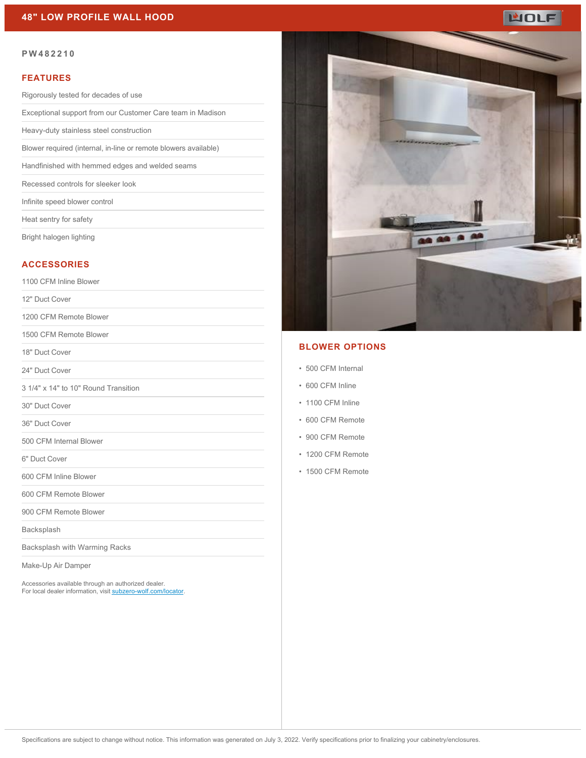## **48" LOW PROFILE WALL HOOD**



#### **PW482210**

#### **FEATURES**

Rigorously tested for decades of use

Exceptional support from our Customer Care team in Madison

Heavy-duty stainless steel construction

Blower required (internal, in-line or remote blowers available)

Handfinished with hemmed edges and welded seams

Recessed controls for sleeker look

Infinite speed blower control

Heat sentry for safety

Bright halogen lighting

#### **ACCESSORIES**

1100 CFM Inline Blower

12" Duct Cover

1200 CFM Remote Blower

1500 CFM Remote Blower

18" Duct Cover

24" Duct Cover

3 1/4" x 14" to 10" Round Transition

30" Duct Cover

36" Duct Cover

500 CFM Internal Blower

6" Duct Cover

600 CFM Inline Blower

600 CFM Remote Blower

900 CFM Remote Blower

Backsplash

Backsplash with Warming Racks

Make-Up Air Damper

Accessories available through an authorized dealer. For local dealer information, visit [subzero-wolf.com/locator.](http://www.subzero-wolf.com/locator)



## **BLOWER OPTIONS**

- 500 CFM Internal
- 600 CFM Inline
- 1100 CFM Inline
- 600 CFM Remote
- 900 CFM Remote
- 1200 CFM Remote
- 1500 CFM Remote